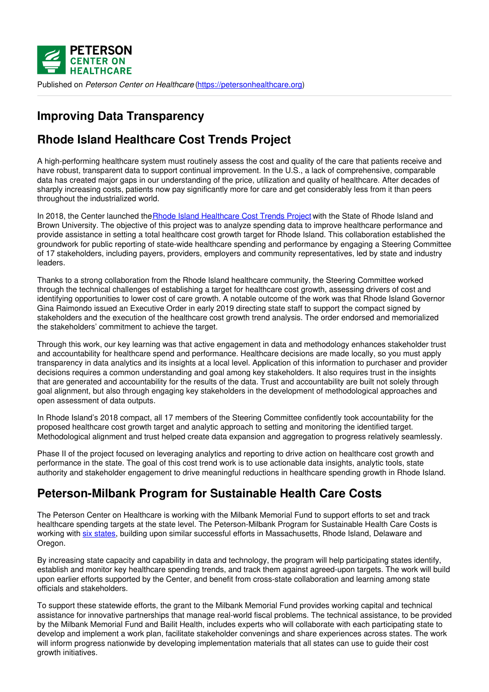

Published on *Peterson Center on Healthcare* [\(https://petersonhealthcare.org](https://petersonhealthcare.org))

# **Improving Data Transparency**

## **Rhode Island Healthcare Cost Trends Project**

A high-performing healthcare system must routinely assess the cost and quality of the care that patients receive and have robust, transparent data to support continual improvement. In the U.S., a lack of comprehensive, comparable data has created major gaps in our understanding of the price, utilization and quality of healthcare. After decades of sharply increasing costs, patients now pay significantly more for care and get considerably less from it than peers throughout the industrialized world.

In 2018, the Center launched the Rhode Island [Healthcare](http://www.ohic.ri.gov/ohic-reformandpolicy-costtrends.php) Cost Trends Project with the State of Rhode Island and Brown University. The objective of this project was to analyze spending data to improve healthcare performance and provide assistance in setting a total healthcare cost growth target for Rhode Island. This collaboration established the groundwork for public reporting of state-wide healthcare spending and performance by engaging a Steering Committee of 17 stakeholders, including payers, providers, employers and community representatives, led by state and industry leaders.

Thanks to a strong collaboration from the Rhode Island healthcare community, the Steering Committee worked through the technical challenges of establishing a target for healthcare cost growth, assessing drivers of cost and identifying opportunities to lower cost of care growth. A notable outcome of the work was that Rhode Island Governor Gina Raimondo issued an Executive Order in early 2019 directing state staff to support the compact signed by stakeholders and the execution of the healthcare cost growth trend analysis. The order endorsed and memorialized the stakeholders' commitment to achieve the target.

Through this work, our key learning was that active engagement in data and methodology enhances stakeholder trust and accountability for healthcare spend and performance. Healthcare decisions are made locally, so you must apply transparency in data analytics and its insights at a local level. Application of this information to purchaser and provider decisions requires a common understanding and goal among key stakeholders. It also requires trust in the insights that are generated and accountability for the results of the data. Trust and accountability are built not solely through goal alignment, but also through engaging key stakeholders in the development of methodological approaches and open assessment of data outputs.

In Rhode Island's 2018 compact, all 17 members of the Steering Committee confidently took accountability for the proposed healthcare cost growth target and analytic approach to setting and monitoring the identified target. Methodological alignment and trust helped create data expansion and aggregation to progress relatively seamlessly.

Phase II of the project focused on leveraging analytics and reporting to drive action on healthcare cost growth and performance in the state. The goal of this cost trend work is to use actionable data insights, analytic tools, state authority and stakeholder engagement to drive meaningful reductions in healthcare spending growth in Rhode Island.

## **Peterson-Milbank Program for Sustainable Health Care Costs**

The Peterson Center on Healthcare is working with the Milbank Memorial Fund to support efforts to set and track healthcare spending targets at the state level. The Peterson-Milbank Program for Sustainable Health Care Costs is working with six [states](https://www.milbank.org/focus-areas/total-cost-of-care/peterson-milbank/), building upon similar successful efforts in Massachusetts, Rhode Island, Delaware and Oregon.

By increasing state capacity and capability in data and technology, the program will help participating states identify, establish and monitor key healthcare spending trends, and track them against agreed-upon targets. The work will build upon earlier efforts supported by the Center, and benefit from cross-state collaboration and learning among state officials and stakeholders.

To support these statewide efforts, the grant to the Milbank Memorial Fund provides working capital and technical assistance for innovative partnerships that manage real-world fiscal problems. The technical assistance, to be provided by the Milbank Memorial Fund and Bailit Health, includes experts who will collaborate with each participating state to develop and implement a work plan, facilitate stakeholder convenings and share experiences across states. The work will inform progress nationwide by developing implementation materials that all states can use to guide their cost growth initiatives.